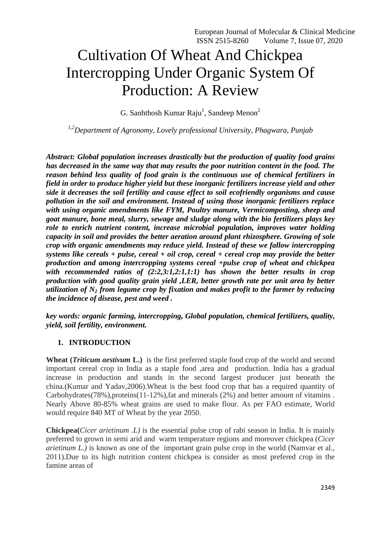# Cultivation Of Wheat And Chickpea Intercropping Under Organic System Of Production: A Review

G. Sanhthosh Kumar Raju<sup>1</sup>, Sandeep Menon<sup>2</sup>

*1,2Department of Agronomy, Lovely professional University, Phagwara, Punjab*

*Abstract: Global population increases drastically but the production of quality food grains has decreased in the same way that may results the poor nutrition content in the food. The reason behind less quality of food grain is the continuous use of chemical fertilizers in field in order to produce higher yield but these inorganic fertilizers increase yield and other side it decreases the soil fertility and cause effect to soil ecofriendly organisms and cause pollution in the soil and environment. Instead of using those inorganic fertilizers replace with using organic amendments like FYM, Poultry manure, Vermicomposting, sheep and goat manure, bone meal, slurry, sewage and sludge along with the bio fertilizers plays key role to enrich nutrient content, increase microbial population, improves water holding capacity in soil and provides the better aeration around plant rhizosphere. Growing of sole crop with organic amendments may reduce yield. Instead of these we fallow intercropping systems like cereals + pulse, cereal + oil crop, cereal + cereal crop may provide the better production and among intercropping systems cereal +pulse crop of wheat and chickpea with recommended ratios of (2:2,3:1,2:1,1:1) has shown the better results in crop production with good quality grain yield ,LER, better growth rate per unit area by better utilization of N<sup>2</sup> from legume crop by fixation and makes profit to the farmer by reducing the incidence of disease, pest and weed .*

*key words: organic farming, intercropping, Global population, chemical fertilizers, quality, yield, soil fertility, environment.*

#### **1. INTRODUCTION**

**Wheat (***Triticum aestivum* **L.)** is the first preferred staple food crop of the world and second important cereal crop in India as a staple food ,area and production. India has a gradual increase in production and stands in the second largest producer just beneath the china.(Kumar and Yadav,2006).Wheat is the best food crop that has a required quantity of Carbohydrates(78%),proteins(11-12%),fat and minerals (2%) and better amount of vitamins . Nearly Above 80-85% wheat grains are used to make flour. As per FAO estimate, World would require 840 MT of Wheat by the year 2050.

**Chickpea(***Cicer arietinum .L)* is the essential pulse crop of rabi season in India. It is mainly preferred to grown in semi arid and warm temperature regions and moreover chickpea (*Cicer arietinum L.)* is known as one of the important grain pulse crop in the world (Namvar et al., 2011).Due to its high nutrition content chickpea is consider as most prefered crop in the famine areas of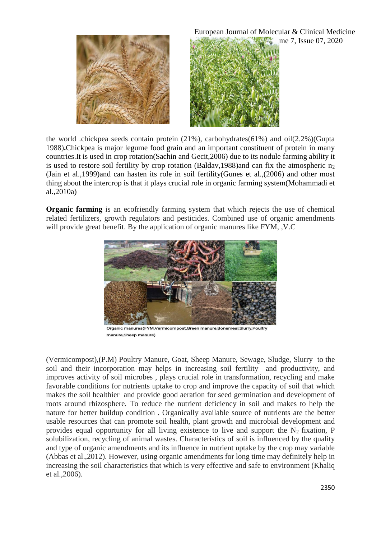

European Journal of Molecular & Clinical Medicine me 7, Issue 07, 2020

the world .chickpea seeds contain protein (21%), carbohydrates(61%) and oil(2.2%)(Gupta 1988)**.**Chickpea is major legume food grain and an important constituent of protein in many countries.It is used in crop rotation(Sachin and Gecit,2006) due to its nodule farming ability it is used to restore soil fertility by crop rotation (Baldav, 1988) and can fix the atmospheric n<sub>2</sub> (Jain et al.,1999)and can hasten its role in soil fertility(Gunes et al.,(2006) and other most thing about the intercrop is that it plays crucial role in organic farming system(Mohammadi et al.,2010a)

**Organic farming** is an ecofriendly farming system that which rejects the use of chemical related fertilizers, growth regulators and pesticides. Combined use of organic amendments will provide great benefit. By the application of organic manures like FYM, ,V.C



Organic manures(FYM,Vermicompost,Green manure,Bonemeal,Slurry,Poultry manure Sheep manure)

(Vermicompost),(P.M) Poultry Manure, Goat, Sheep Manure, Sewage, Sludge, Slurry to the soil and their incorporation may helps in increasing soil fertility and productivity, and improves activity of soil microbes , plays crucial role in transformation, recycling and make favorable conditions for nutrients uptake to crop and improve the capacity of soil that which makes the soil healthier and provide good aeration for seed germination and development of roots around rhizosphere. To reduce the nutrient deficiency in soil and makes to help the nature for better buildup condition . Organically available source of nutrients are the better usable resources that can promote soil health, plant growth and microbial development and provides equal opportunity for all living existence to live and support the  $N_2$  fixation, P solubilization, recycling of animal wastes. Characteristics of soil is influenced by the quality and type of organic amendments and its influence in nutrient uptake by the crop may variable (Abbas et al.,2012). However, using organic amendments for long time may definitely help in increasing the soil characteristics that which is very effective and safe to environment (Khaliq et al.,2006).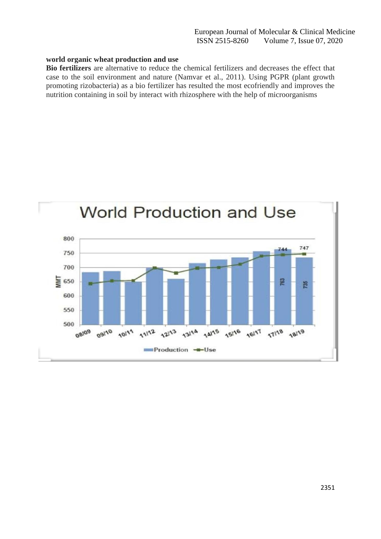#### **world organic wheat production and use**

**Bio fertilizers** are alternative to reduce the chemical fertilizers and decreases the effect that case to the soil environment and nature (Namvar et al., 2011). Using PGPR (plant growth promoting rizobacteria) as a bio fertilizer has resulted the most ecofriendly and improves the nutrition containing in soil by interact with rhizosphere with the help of microorganisms

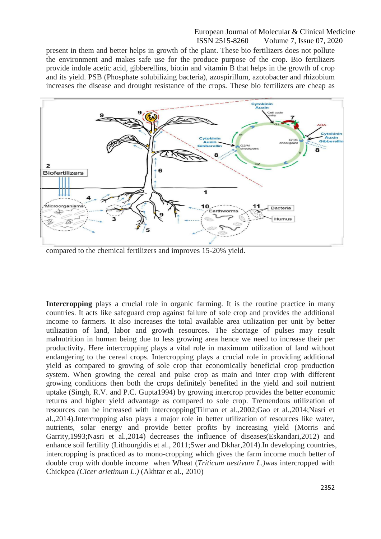present in them and better helps in growth of the plant. These bio fertilizers does not pollute the environment and makes safe use for the produce purpose of the crop. Bio fertilizers provide indole acetic acid, gibberellins, biotin and vitamin B that helps in the growth of crop and its yield. PSB (Phosphate solubilizing bacteria), azospirillum, azotobacter and rhizobium increases the disease and drought resistance of the crops. These bio fertilizers are cheap as



compared to the chemical fertilizers and improves 15-20% yield.

**Intercropping** plays a crucial role in organic farming. It is the routine practice in many countries. It acts like safeguard crop against failure of sole crop and provides the additional income to farmers. It also increases the total available area utilization per unit by better utilization of land, labor and growth resources. The shortage of pulses may result malnutrition in human being due to less growing area hence we need to increase their per productivity. Here intercropping plays a vital role in maximum utilization of land without endangering to the cereal crops. Intercropping plays a crucial role in providing additional yield as compared to growing of sole crop that economically beneficial crop production system. When growing the cereal and pulse crop as main and inter crop with different growing conditions then both the crops definitely benefited in the yield and soil nutrient uptake (Singh, R.V. and P.C. Gupta1994) by growing intercrop provides the better economic returns and higher yield advantage as compared to sole crop. Tremendous utilization of resources can be increased with intercropping(Tilman et al.,2002;Gao et al.,2014;Nasri et al.,2014).Intercropping also plays a major role in better utilization of resources like water, nutrients, solar energy and provide better profits by increasing yield (Morris and Garrity,1993;Nasri et al.,2014) decreases the influence of diseases(Eskandari,2012) and enhance soil fertility (Lithourgidis et al., 2011;Swer and Dkhar,2014).In developing countries, intercropping is practiced as to mono-cropping which gives the farm income much better of double crop with double income when Wheat (*Triticum aestivum L.)*was intercropped with Chickpea *(Cicer arietinum L.)* (Akhtar et al., 2010)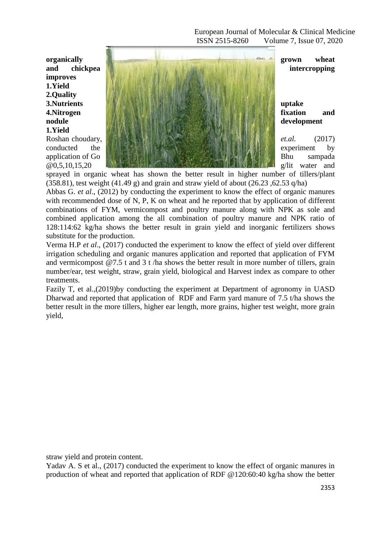**improves 1.Yield 2.Quality 1.Yield**



sprayed in organic wheat has shown the better result in higher number of tillers/plant (358.81), test weight (41.49 g) and grain and straw yield of about (26.23,  $62.53$  q/ha)

Abbas G. *et al*., (2012) by conducting the experiment to know the effect of organic manures with recommended dose of N, P, K on wheat and he reported that by application of different combinations of FYM, vermicompost and poultry manure along with NPK as sole and combined application among the all combination of poultry manure and NPK ratio of 128:114:62 kg/ha shows the better result in grain yield and inorganic fertilizers shows substitute for the production.

Verma H.P *et al*., (2017) conducted the experiment to know the effect of yield over different irrigation scheduling and organic manures application and reported that application of FYM and vermicompost @7.5 t and 3 t /ha shows the better result in more number of tillers, grain number/ear, test weight, straw, grain yield, biological and Harvest index as compare to other treatments.

Fazily T, et al.,(2019)by conducting the experiment at Department of agronomy in UASD Dharwad and reported that application of RDF and Farm yard manure of 7.5 t/ha shows the better result in the more tillers, higher ear length, more grains, higher test weight, more grain yield,

straw yield and protein content.

Yadav A. S et al., (2017) conducted the experiment to know the effect of organic manures in production of wheat and reported that application of RDF @120:60:40 kg/ha show the better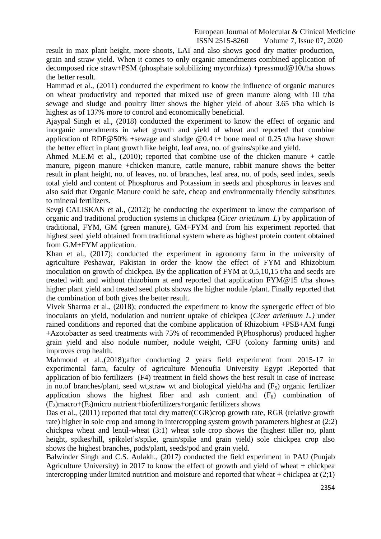result in max plant height, more shoots, LAI and also shows good dry matter production, grain and straw yield. When it comes to only organic amendments combined application of decomposed rice straw+PSM (phosphate solubilizing mycorrhiza) +pressmud@10t/ha shows the better result.

Hammad et al., (2011) conducted the experiment to know the influence of organic manures on wheat productivity and reported that mixed use of green manure along with 10 t/ha sewage and sludge and poultry litter shows the higher yield of about 3.65 t/ha which is highest as of 137% more to control and economically beneficial.

Ajaypal Singh et al., (2018) conducted the experiment to know the effect of organic and inorganic amendments in whet growth and yield of wheat and reported that combine application of RDF@50% +sewage and sludge @0.4 t+ bone meal of 0.25 t/ha have shown the better effect in plant growth like height, leaf area, no. of grains/spike and yield.

Ahmed M.E.M et al.,  $(2010)$ ; reported that combine use of the chicken manure + cattle manure, pigeon manure +chicken manure, cattle manure, rabbit manure shows the better result in plant height, no. of leaves, no. of branches, leaf area, no. of pods, seed index, seeds total yield and content of Phosphorus and Potassium in seeds and phosphorus in leaves and also said that Organic Manure could be safe, cheap and environmentally friendly substitutes to mineral fertilizers.

Sevgi CALISKAN et al., (2012); he conducting the experiment to know the comparison of organic and traditional production systems in chickpea (*Cicer arietinum. L*) by application of traditional, FYM, GM (green manure), GM+FYM and from his experiment reported that highest seed yield obtained from traditional system where as highest protein content obtained from G.M+FYM application.

Khan et al., (2017); conducted the experiment in agronomy farm in the university of agriculture Peshawar, Pakistan in order the know the effect of FYM and Rhizobium inoculation on growth of chickpea. By the application of FYM at 0,5,10,15 t/ha and seeds are treated with and without rhizobium at end reported that application FYM@15 t/ha shows higher plant yield and treated seed plots shows the higher nodule /plant. Finally reported that the combination of both gives the better result.

Vivek Sharma et al., (2018); conducted the experiment to know the synergetic effect of bio inoculants on yield, nodulation and nutrient uptake of chickpea (*Cicer arietinum L.)* under rained conditions and reported that the combine application of Rhizobium +PSB+AM fungi +Azotobacter as seed treatments with 75% of recommended P(Phosphorus) produced higher grain yield and also nodule number, nodule weight, CFU (colony farming units) and improves crop health.

Mahmoud et al.,(2018);after conducting 2 years field experiment from 2015-17 in experimental farm, faculty of agriculture Menoufia University Egypt .Reported that application of bio fertilizers (F4) treatment in field shows the best result in case of increase in no.of branches/plant, seed wt, straw wt and biological yield/ha and  $(F_5)$  organic fertilizer application shows the highest fiber and ash content and  $(F<sub>6</sub>)$  combination of  $(F<sub>2</sub>)$ macro+ $(F<sub>3</sub>)$ micro nutrient+biofertilizers+organic fertilizers shows

Das et al., (2011) reported that total dry matter(CGR)crop growth rate, RGR (relative growth rate) higher in sole crop and among in intercropping system growth parameters highest at (2:2) chickpea wheat and lentil-wheat (3:1) wheat sole crop shows the (highest tiller no, plant height, spikes/hill, spikelet's/spike, grain/spike and grain yield) sole chickpea crop also shows the highest branches, pods/plant, seeds/pod and grain yield.

Balwinder Singh and C.S. Aulakh., (2017) conducted the field experiment in PAU (Punjab Agriculture University) in 2017 to know the effect of growth and yield of wheat + chickpea intercropping under limited nutrition and moisture and reported that wheat  $+$  chickpea at  $(2,1)$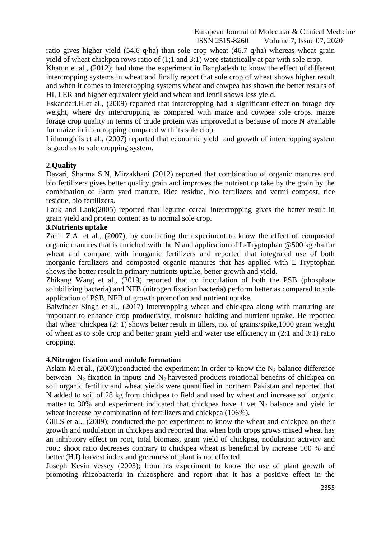ratio gives higher yield (54.6 q/ha) than sole crop wheat (46.7 q/ha) whereas wheat grain yield of wheat chickpea rows ratio of (1;1 and 3:1) were statistically at par with sole crop. Khatun et al., (2012); had done the experiment in Bangladesh to know the effect of different intercropping systems in wheat and finally report that sole crop of wheat shows higher result

and when it comes to intercropping systems wheat and cowpea has shown the better results of HI, LER and higher equivalent yield and wheat and lentil shows less yield.

Eskandari.H.et al., (2009) reported that intercropping had a significant effect on forage dry weight, where dry intercropping as compared with maize and cowpea sole crops. maize forage crop quality in terms of crude protein was improved.it is because of more N available for maize in intercropping compared with its sole crop.

Lithourgidis et al., (2007) reported that economic yield and growth of intercropping system is good as to sole cropping system.

# 2.**Quality**

Davari, Sharma S.N, Mirzakhani (2012) reported that combination of organic manures and bio fertilizers gives better quality grain and improves the nutrient up take by the grain by the combination of Farm yard manure, Rice residue, bio fertilizers and vermi compost, rice residue, bio fertilizers.

Lauk and Lauk(2005) reported that legume cereal intercropping gives the better result in grain yield and protein content as to normal sole crop.

#### **3.Nutrients uptake**

Zahir Z.A. et al., (2007), by conducting the experiment to know the effect of composted organic manures that is enriched with the N and application of L-Tryptophan @500 kg /ha for wheat and compare with inorganic fertilizers and reported that integrated use of both inorganic fertilizers and composted organic manures that has applied with L-Tryptophan shows the better result in primary nutrients uptake, better growth and yield.

Zhikang Wang et al., (2019) reported that co inoculation of both the PSB (phosphate solubilizing bacteria) and NFB (nitrogen fixation bacteria) perform better as compared to sole application of PSB, NFB of growth promotion and nutrient uptake.

Balwinder Singh et al., (2017) Intercropping wheat and chickpea along with manuring are important to enhance crop productivity, moisture holding and nutrient uptake. He reported that whea+chickpea (2: 1) shows better result in tillers, no. of grains/spike,1000 grain weight of wheat as to sole crop and better grain yield and water use efficiency in (2:1 and 3:1) ratio cropping.

#### **4.Nitrogen fixation and nodule formation**

Aslam M.et al., (2003); conducted the experiment in order to know the  $N_2$  balance difference between  $N_2$  fixation in inputs and  $N_2$  harvested products rotational benefits of chickpea on soil organic fertility and wheat yields were quantified in northern Pakistan and reported that N added to soil of 28 kg from chickpea to field and used by wheat and increase soil organic matter to 30% and experiment indicated that chickpea have + vet  $N_2$  balance and yield in wheat increase by combination of fertilizers and chickpea (106%).

Gill.S et al., (2009); conducted the pot experiment to know the wheat and chickpea on their growth and nodulation in chickpea and reported that when both crops grows mixed wheat has an inhibitory effect on root, total biomass, grain yield of chickpea, nodulation activity and root: shoot ratio decreases contrary to chickpea wheat is beneficial by increase 100 % and better (H.I) harvest index and greenness of plant is not effected.

Joseph Kevin vessey (2003); from his experiment to know the use of plant growth of promoting rhizobacteria in rhizosphere and report that it has a positive effect in the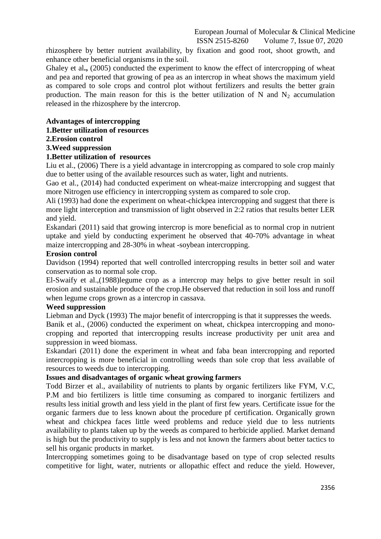rhizosphere by better nutrient availability, by fixation and good root, shoot growth, and enhance other beneficial organisms in the soil.

Ghaley et al., (2005) conducted the experiment to know the effect of intercropping of wheat and pea and reported that growing of pea as an intercrop in wheat shows the maximum yield as compared to sole crops and control plot without fertilizers and results the better grain production. The main reason for this is the better utilization of N and  $N_2$  accumulation released in the rhizosphere by the intercrop.

# **Advantages of intercropping**

# **1.Better utilization of resources**

**2.Erosion control**

# **3.Weed suppression**

# **1.Better utilization of resources**

Liu et al., (2006) There is a yield advantage in intercropping as compared to sole crop mainly due to better using of the available resources such as water, light and nutrients.

Gao et al., (2014) had conducted experiment on wheat-maize intercropping and suggest that more Nitrogen use efficiency in intercropping system as compared to sole crop.

Ali (1993) had done the experiment on wheat-chickpea intercropping and suggest that there is more light interception and transmission of light observed in 2:2 ratios that results better LER and yield.

Eskandari (2011) said that growing intercrop is more beneficial as to normal crop in nutrient uptake and yield by conducting experiment he observed that 40-70% advantage in wheat maize intercropping and 28-30% in wheat -soybean intercropping.

#### **Erosion control**

Davidson (1994) reported that well controlled intercropping results in better soil and water conservation as to normal sole crop.

El-Swaify et al.,(1988)legume crop as a intercrop may helps to give better result in soil erosion and sustainable produce of the crop.He observed that reduction in soil loss and runoff when legume crops grown as a intercrop in cassava.

#### **Weed suppression**

Liebman and Dyck (1993) The major benefit of intercropping is that it suppresses the weeds.

Banik et al., (2006) conducted the experiment on wheat, chickpea intercropping and monocropping and reported that intercropping results increase productivity per unit area and suppression in weed biomass.

Eskandari (2011) done the experiment in wheat and faba bean intercropping and reported intercropping is more beneficial in controlling weeds than sole crop that less available of resources to weeds due to intercropping.

# **Issues and disadvantages of organic wheat growing farmers**

Todd Birzer et al., availability of nutrients to plants by organic fertilizers like FYM, V.C, P.M and bio fertilizers is little time consuming as compared to inorganic fertilizers and results less initial growth and less yield in the plant of first few years. Certificate issue for the organic farmers due to less known about the procedure pf certification. Organically grown wheat and chickpea faces little weed problems and reduce yield due to less nutrients availability to plants taken up by the weeds as compared to herbicide applied. Market demand is high but the productivity to supply is less and not known the farmers about better tactics to sell his organic products in market.

Intercropping sometimes going to be disadvantage based on type of crop selected results competitive for light, water, nutrients or allopathic effect and reduce the yield. However,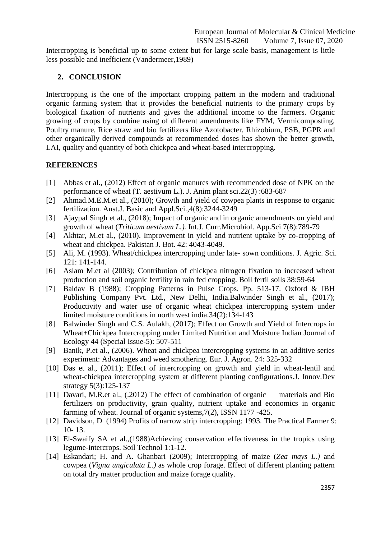Intercropping is beneficial up to some extent but for large scale basis, management is little less possible and inefficient (Vandermeer,1989)

# **2. CONCLUSION**

Intercropping is the one of the important cropping pattern in the modern and traditional organic farming system that it provides the beneficial nutrients to the primary crops by biological fixation of nutrients and gives the additional income to the farmers. Organic growing of crops by combine using of different amendments like FYM, Vermicomposting, Poultry manure, Rice straw and bio fertilizers like Azotobacter, Rhizobium, PSB, PGPR and other organically derived compounds at recommended doses has shown the better growth, LAI, quality and quantity of both chickpea and wheat-based intercropping.

# **REFERENCES**

- [1] Abbas et al., (2012) Effect of organic manures with recommended dose of NPK on the performance of wheat (T. aestivum L.). J. Anim plant sci.22(3) :683-687
- [2] Ahmad.M.E.M.et al., (2010); Growth and yield of cowpea plants in response to organic fertilization. Aust.J. Basic and Appl.Sci.,4(8):3244-3249
- [3] Ajaypal Singh et al., (2018); Impact of organic and in organic amendments on yield and growth of wheat (*Triticum aestivum L.).* Int.J. Curr.Microbiol. App.Sci 7(8):789-79
- [4] Akhtar, M.et al., (2010). Improvement in yield and nutrient uptake by co-cropping of wheat and chickpea. Pakistan J. Bot. 42: 4043-4049.
- [5] Ali, M. (1993). Wheat/chickpea intercropping under late- sown conditions. J. Agric. Sci. 121: 141-144.
- [6] Aslam M.et al (2003); Contribution of chickpea nitrogen fixation to increased wheat production and soil organic fertility in rain fed cropping. Boil fertil soils 38:59-64
- [7] Baldav B (1988); Cropping Patterns in Pulse Crops. Pp. 513-17. Oxford & IBH Publishing Company Pvt. Ltd., New Delhi, India.Balwinder Singh et al., (2017); Productivity and water use of organic wheat chickpea intercropping system under limited moisture conditions in north west india.34(2):134-143
- [8] Balwinder Singh and C.S. Aulakh, (2017); Effect on Growth and Yield of Intercrops in Wheat+Chickpea Intercropping under Limited Nutrition and Moisture Indian Journal of Ecology 44 (Special Issue-5): 507-511
- [9] Banik, P.et al., (2006). Wheat and chickpea intercropping systems in an additive series experiment: Advantages and weed smothering. Eur. J. Agron. 24: 325-332
- [10] Das et al., (2011); Effect of intercropping on growth and yield in wheat-lentil and wheat-chickpea intercropping system at different planting configurations.J. Innov.Dev strategy 5(3):125-137
- [11] Davari, M.R.et al., (.2012) The effect of combination of organic materials and Bio fertilizers on productivity, grain quality, nutrient uptake and economics in organic farming of wheat. Journal of organic systems,7(2), ISSN 1177 -425.
- [12] Davidson, D (1994) Profits of narrow strip intercropping: 1993. The Practical Farmer 9: 10- 13.
- [13] El-Swaify SA et al.,(1988)Achieving conservation effectiveness in the tropics using legume-intercrops. Soil Technol 1:1-12.
- [14] Eskandari; H. and A. Ghanbari (2009); Intercropping of maize (*Zea mays L.)* and cowpea (*Vigna ungiculata L.)* as whole crop forage. Effect of different planting pattern on total dry matter production and maize forage quality.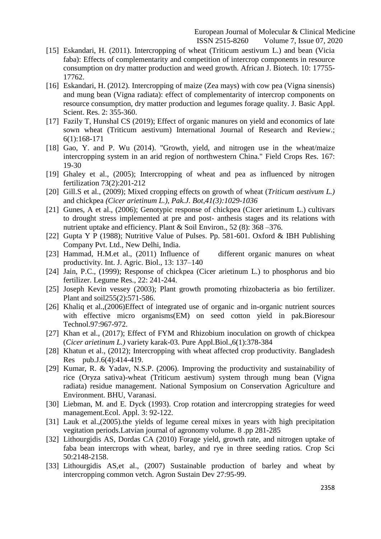- [15] Eskandari, H. (2011). Intercropping of wheat (Triticum aestivum L.) and bean (Vicia faba): Effects of complementarity and competition of intercrop components in resource consumption on dry matter production and weed growth. African J. Biotech. 10: 17755- 17762.
- [16] Eskandari, H. (2012). Intercropping of maize (Zea mays) with cow pea (Vigna sinensis) and mung bean (Vigna radiata): effect of complementarity of intercrop components on resource consumption, dry matter production and legumes forage quality. J. Basic Appl. Scient. Res. 2: 355-360.
- [17] Fazily T, Hunshal CS (2019); Effect of organic manures on yield and economics of late sown wheat (Triticum aestivum) International Journal of Research and Review.; 6(1):168-171
- [18] Gao, Y. and P. Wu (2014). "Growth, yield, and nitrogen use in the wheat/maize intercropping system in an arid region of northwestern China." Field Crops Res. 167: 19-30
- [19] Ghaley et al., (2005); Intercropping of wheat and pea as influenced by nitrogen fertilization 73(2):201-212
- [20] Gill.S et al., (2009); Mixed cropping effects on growth of wheat (*Triticum aestivum L.)*  and chickpea *(Cicer arietinum L.), Pak.J. Bot,41(3):1029-1036*
- [21] Gunes, A et al., (2006); Genotypic response of chickpea (Cicer arietinum L.) cultivars to drought stress implemented at pre and post- anthesis stages and its relations with nutrient uptake and efficiency. Plant & Soil Environ., 52 (8): 368 –376.
- [22] Gupta Y P (1988); Nutritive Value of Pulses. Pp. 581-601. Oxford & IBH Publishing Company Pvt. Ltd., New Delhi, India.
- [23] Hammad, H.M.et al., (2011) Influence of different organic manures on wheat productivity. Int. J. Agric. Biol., 13: 137–140
- [24] Jain, P.C., (1999); Response of chickpea (Cicer arietinum L.) to phosphorus and bio fertilizer. Legume Res., 22: 241-244.
- [25] Joseph Kevin vessey (2003); Plant growth promoting rhizobacteria as bio fertilizer. Plant and soil255(2):571-586.
- [26] Khaliq et al.,(2006)Effect of integrated use of organic and in-organic nutrient sources with effective micro organisms (EM) on seed cotton yield in pak.Bioresour Technol.97:967-972.
- [27] Khan et al., (2017); Effect of FYM and Rhizobium inoculation on growth of chickpea (*Cicer arietinum L.)* variety karak-03. Pure Appl.Biol.,6(1):378-384
- [28] Khatun et al., (2012); Intercropping with wheat affected crop productivity. Bangladesh Res pub.J.6(4):414-419.
- [29] Kumar, R. & Yadav, N.S.P. (2006). Improving the productivity and sustainability of rice (Oryza sativa)-wheat (Triticum aestivum) system through mung bean (Vigna radiata) residue management. National Symposium on Conservation Agriculture and Environment. BHU, Varanasi.
- [30] Liebman, M. and E. Dyck (1993). Crop rotation and intercropping strategies for weed management.Ecol. Appl. 3: 92-122.
- [31] Lauk et al.,(2005).the yields of legume cereal mixes in years with high precipitation vegitation periods.Latvian journal of agronomy volume. 8 .pp 281-285
- [32] Lithourgidis AS, Dordas CA (2010) Forage yield, growth rate, and nitrogen uptake of faba bean intercrops with wheat, barley, and rye in three seeding ratios. Crop Sci 50:2148-2158.
- [33] Lithourgidis AS, et al., (2007) Sustainable production of barley and wheat by intercropping common vetch. Agron Sustain Dev 27:95-99.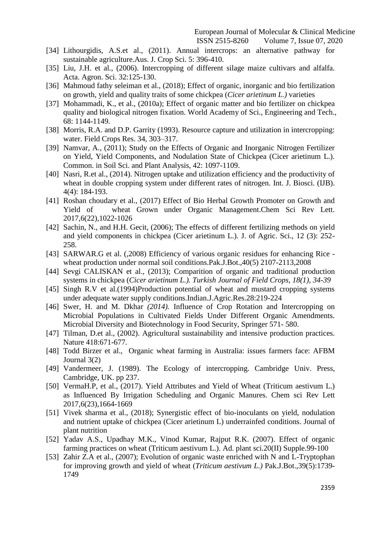[34] Lithourgidis, A.S.et al., (2011). Annual intercrops: an alternative pathway for sustainable agriculture.Aus. J. Crop Sci. 5: 396-410.

- [35] Liu, J.H. et al., (2006). Intercropping of different silage maize cultivars and alfalfa. Acta. Agron. Sci. 32:125-130.
- [36] Mahmoud fathy seleiman et al., (2018); Effect of organic, inorganic and bio fertilization on growth, yield and quality traits of some chickpea (*Cicer arietinum L.)* varieties
- [37] Mohammadi, K., et al., (2010a); Effect of organic matter and bio fertilizer on chickpea quality and biological nitrogen fixation. World Academy of Sci., Engineering and Tech., 68: 1144-1149.
- [38] Morris, R.A. and D.P. Garrity (1993). Resource capture and utilization in intercropping: water. Field Crops Res. 34, 303–317.
- [39] Namvar, A., (2011); Study on the Effects of Organic and Inorganic Nitrogen Fertilizer on Yield, Yield Components, and Nodulation State of Chickpea (Cicer arietinum L.). Common. in Soil Sci. and Plant Analysis, 42: 1097-1109.
- [40] Nasri, R.et al., (2014). Nitrogen uptake and utilization efficiency and the productivity of wheat in double cropping system under different rates of nitrogen. Int. J. Biosci. (IJB). 4(4): 184-193.
- [41] Roshan choudary et al., (2017) Effect of Bio Herbal Growth Promoter on Growth and Yield of wheat Grown under Organic Management.Chem Sci Rev Lett. 2017,6(22),1022-1026
- [42] Sachin, N., and H.H. Gecit, (2006); The effects of different fertilizing methods on yield and yield components in chickpea (Cicer arietinum L.). J. of Agric. Sci., 12 (3): 252- 258.
- [43] SARWAR.G et al. (,2008) Efficiency of various organic residues for enhancing Rice wheat production under normal soil conditions.Pak.J.Bot.,40(5) 2107-2113,2008
- [44] Sevgi CALISKAN et al., (2013); Comparition of organic and traditional production systems in chickpea (*Cicer arietinum L.). Turkish Journal of Field Crops, 18(1), 34-39*
- [45] Singh R.V et al.(1994)Production potential of wheat and mustard cropping systems under adequate water supply conditions.Indian.J.Agric.Res.28:219-224
- [46] Swer, H. and M. Dkhar *(2014).* Influence of Crop Rotation and Intercropping on Microbial Populations in Cultivated Fields Under Different Organic Amendments. Microbial Diversity and Biotechnology in Food Security, Springer 571- 580.
- [47] Tilman, D.et al., (2002). Agricultural sustainability and intensive production practices. Nature 418:671-677.
- [48] Todd Birzer et al., Organic wheat farming in Australia: issues farmers face: AFBM Journal 3(2)
- [49] Vandermeer, J. (1989). The Ecology of intercropping. Cambridge Univ. Press, Cambridge, UK. pp 237.
- [50] VermaH.P, et al., (2017). Yield Attributes and Yield of Wheat (Triticum aestivum L.) as Influenced By Irrigation Scheduling and Organic Manures. Chem sci Rev Lett 2017,6(23),1664-1669
- [51] Vivek sharma et al., (2018); Synergistic effect of bio-inoculants on yield, nodulation and nutrient uptake of chickpea (Cicer arietinum L) underrainfed conditions. Journal of plant nutrition
- [52] Yadav A.S., Upadhay M.K., Vinod Kumar, Rajput R.K. (2007). Effect of organic farming practices on wheat (Triticum aestivum L.). Ad. plant sci.20(II) Supple.99-100
- [53] Zahir Z.A et al., (2007); Evolution of organic waste enriched with N and L-Tryptophan for improving growth and yield of wheat (*Triticum aestivum L.)* Pak.J.Bot.,39(5):1739- 1749